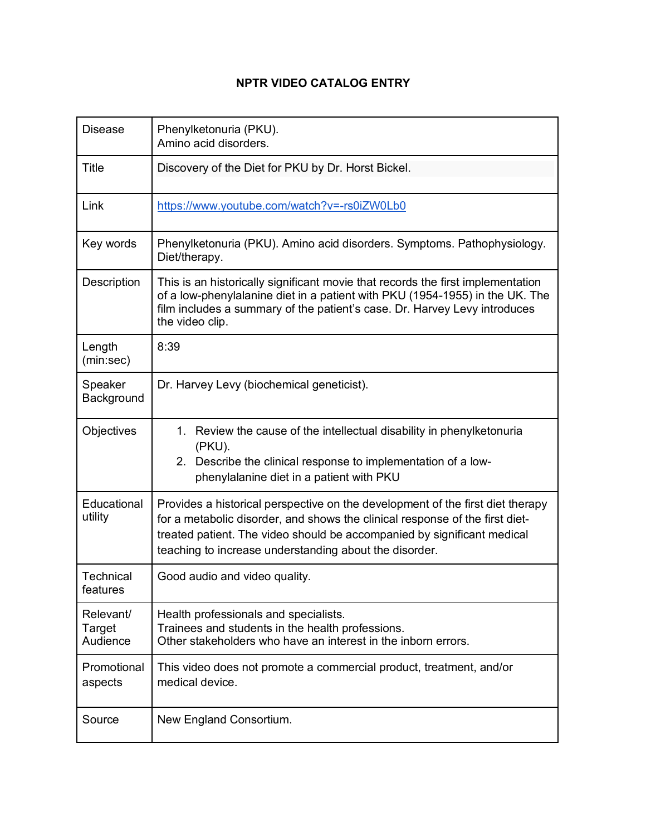## **NPTR VIDEO CATALOG ENTRY**

| <b>Disease</b>                  | Phenylketonuria (PKU).<br>Amino acid disorders.                                                                                                                                                                                                                                                     |  |  |  |
|---------------------------------|-----------------------------------------------------------------------------------------------------------------------------------------------------------------------------------------------------------------------------------------------------------------------------------------------------|--|--|--|
| <b>Title</b>                    | Discovery of the Diet for PKU by Dr. Horst Bickel.                                                                                                                                                                                                                                                  |  |  |  |
| Link                            | https://www.youtube.com/watch?v=-rs0iZW0Lb0                                                                                                                                                                                                                                                         |  |  |  |
| Key words                       | Phenylketonuria (PKU). Amino acid disorders. Symptoms. Pathophysiology.<br>Diet/therapy.                                                                                                                                                                                                            |  |  |  |
| Description                     | This is an historically significant movie that records the first implementation<br>of a low-phenylalanine diet in a patient with PKU (1954-1955) in the UK. The<br>film includes a summary of the patient's case. Dr. Harvey Levy introduces<br>the video clip.                                     |  |  |  |
| Length<br>(min:sec)             | 8:39                                                                                                                                                                                                                                                                                                |  |  |  |
| Speaker<br>Background           | Dr. Harvey Levy (biochemical geneticist).                                                                                                                                                                                                                                                           |  |  |  |
| Objectives                      | 1. Review the cause of the intellectual disability in phenylketonuria<br>(PKU).<br>Describe the clinical response to implementation of a low-<br>2.<br>phenylalanine diet in a patient with PKU                                                                                                     |  |  |  |
| Educational<br>utility          | Provides a historical perspective on the development of the first diet therapy<br>for a metabolic disorder, and shows the clinical response of the first diet-<br>treated patient. The video should be accompanied by significant medical<br>teaching to increase understanding about the disorder. |  |  |  |
| Technical<br>features           | Good audio and video quality.                                                                                                                                                                                                                                                                       |  |  |  |
| Relevant/<br>Target<br>Audience | Health professionals and specialists.<br>Trainees and students in the health professions.<br>Other stakeholders who have an interest in the inborn errors.                                                                                                                                          |  |  |  |
| Promotional<br>aspects          | This video does not promote a commercial product, treatment, and/or<br>medical device.                                                                                                                                                                                                              |  |  |  |
| Source                          | New England Consortium.                                                                                                                                                                                                                                                                             |  |  |  |